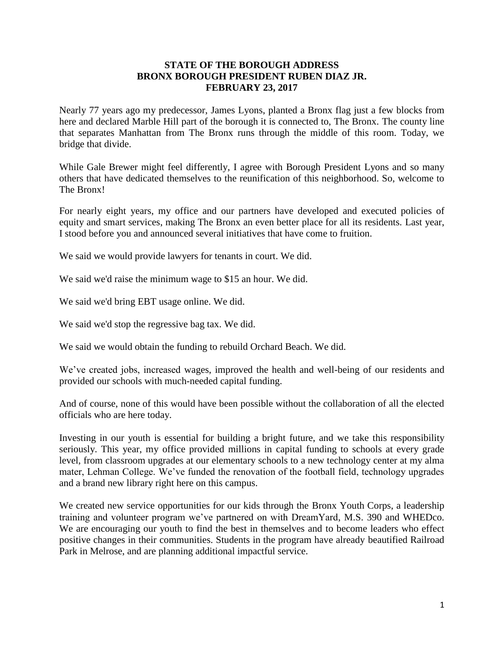## **STATE OF THE BOROUGH ADDRESS BRONX BOROUGH PRESIDENT RUBEN DIAZ JR. FEBRUARY 23, 2017**

Nearly 77 years ago my predecessor, James Lyons, planted a Bronx flag just a few blocks from here and declared Marble Hill part of the borough it is connected to, The Bronx. The county line that separates Manhattan from The Bronx runs through the middle of this room. Today, we bridge that divide.

While Gale Brewer might feel differently, I agree with Borough President Lyons and so many others that have dedicated themselves to the reunification of this neighborhood. So, welcome to The Bronx!

For nearly eight years, my office and our partners have developed and executed policies of equity and smart services, making The Bronx an even better place for all its residents. Last year, I stood before you and announced several initiatives that have come to fruition.

We said we would provide lawyers for tenants in court. We did.

We said we'd raise the minimum wage to \$15 an hour. We did.

We said we'd bring EBT usage online. We did.

We said we'd stop the regressive bag tax. We did.

We said we would obtain the funding to rebuild Orchard Beach. We did.

We've created jobs, increased wages, improved the health and well-being of our residents and provided our schools with much-needed capital funding.

And of course, none of this would have been possible without the collaboration of all the elected officials who are here today.

Investing in our youth is essential for building a bright future, and we take this responsibility seriously. This year, my office provided millions in capital funding to schools at every grade level, from classroom upgrades at our elementary schools to a new technology center at my alma mater, Lehman College. We've funded the renovation of the football field, technology upgrades and a brand new library right here on this campus.

We created new service opportunities for our kids through the Bronx Youth Corps, a leadership training and volunteer program we've partnered on with DreamYard, M.S. 390 and WHEDco. We are encouraging our youth to find the best in themselves and to become leaders who effect positive changes in their communities. Students in the program have already beautified Railroad Park in Melrose, and are planning additional impactful service.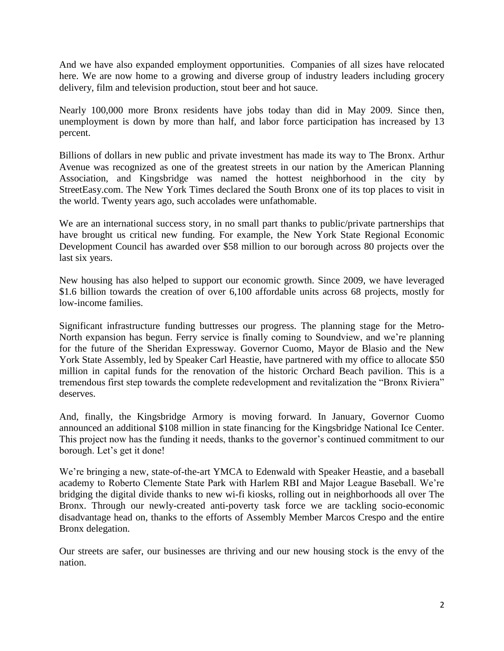And we have also expanded employment opportunities. Companies of all sizes have relocated here. We are now home to a growing and diverse group of industry leaders including grocery delivery, film and television production, stout beer and hot sauce.

Nearly 100,000 more Bronx residents have jobs today than did in May 2009. Since then, unemployment is down by more than half, and labor force participation has increased by 13 percent.

Billions of dollars in new public and private investment has made its way to The Bronx. Arthur Avenue was recognized as one of the greatest streets in our nation by the American Planning Association, and Kingsbridge was named the hottest neighborhood in the city by StreetEasy.com. The New York Times declared the South Bronx one of its top places to visit in the world. Twenty years ago, such accolades were unfathomable.

We are an international success story, in no small part thanks to public/private partnerships that have brought us critical new funding. For example, the New York State Regional Economic Development Council has awarded over \$58 million to our borough across 80 projects over the last six years.

New housing has also helped to support our economic growth. Since 2009, we have leveraged \$1.6 billion towards the creation of over 6,100 affordable units across 68 projects, mostly for low-income families.

Significant infrastructure funding buttresses our progress. The planning stage for the Metro-North expansion has begun. Ferry service is finally coming to Soundview, and we're planning for the future of the Sheridan Expressway. Governor Cuomo, Mayor de Blasio and the New York State Assembly, led by Speaker Carl Heastie, have partnered with my office to allocate \$50 million in capital funds for the renovation of the historic Orchard Beach pavilion. This is a tremendous first step towards the complete redevelopment and revitalization the "Bronx Riviera" deserves.

And, finally, the Kingsbridge Armory is moving forward. In January, Governor Cuomo announced an additional \$108 million in state financing for the Kingsbridge National Ice Center. This project now has the funding it needs, thanks to the governor's continued commitment to our borough. Let's get it done!

We're bringing a new, state-of-the-art YMCA to Edenwald with Speaker Heastie, and a baseball academy to Roberto Clemente State Park with Harlem RBI and Major League Baseball. We're bridging the digital divide thanks to new wi-fi kiosks, rolling out in neighborhoods all over The Bronx. Through our newly-created anti-poverty task force we are tackling socio-economic disadvantage head on, thanks to the efforts of Assembly Member Marcos Crespo and the entire Bronx delegation.

Our streets are safer, our businesses are thriving and our new housing stock is the envy of the nation.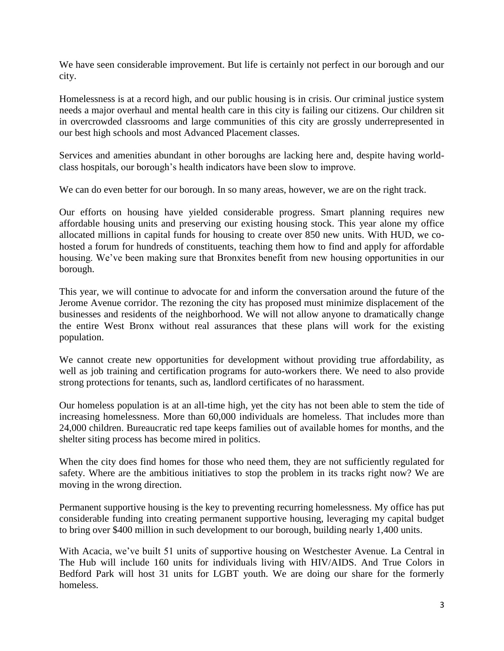We have seen considerable improvement. But life is certainly not perfect in our borough and our city.

Homelessness is at a record high, and our public housing is in crisis. Our criminal justice system needs a major overhaul and mental health care in this city is failing our citizens. Our children sit in overcrowded classrooms and large communities of this city are grossly underrepresented in our best high schools and most Advanced Placement classes.

Services and amenities abundant in other boroughs are lacking here and, despite having worldclass hospitals, our borough's health indicators have been slow to improve.

We can do even better for our borough. In so many areas, however, we are on the right track.

Our efforts on housing have yielded considerable progress. Smart planning requires new affordable housing units and preserving our existing housing stock. This year alone my office allocated millions in capital funds for housing to create over 850 new units. With HUD, we cohosted a forum for hundreds of constituents, teaching them how to find and apply for affordable housing. We've been making sure that Bronxites benefit from new housing opportunities in our borough.

This year, we will continue to advocate for and inform the conversation around the future of the Jerome Avenue corridor. The rezoning the city has proposed must minimize displacement of the businesses and residents of the neighborhood. We will not allow anyone to dramatically change the entire West Bronx without real assurances that these plans will work for the existing population.

We cannot create new opportunities for development without providing true affordability, as well as job training and certification programs for auto-workers there. We need to also provide strong protections for tenants, such as, landlord certificates of no harassment.

Our homeless population is at an all-time high, yet the city has not been able to stem the tide of increasing homelessness. More than 60,000 individuals are homeless. That includes more than 24,000 children. Bureaucratic red tape keeps families out of available homes for months, and the shelter siting process has become mired in politics.

When the city does find homes for those who need them, they are not sufficiently regulated for safety. Where are the ambitious initiatives to stop the problem in its tracks right now? We are moving in the wrong direction.

Permanent supportive housing is the key to preventing recurring homelessness. My office has put considerable funding into creating permanent supportive housing, leveraging my capital budget to bring over \$400 million in such development to our borough, building nearly 1,400 units.

With Acacia, we've built 51 units of supportive housing on Westchester Avenue. La Central in The Hub will include 160 units for individuals living with HIV/AIDS. And True Colors in Bedford Park will host 31 units for LGBT youth. We are doing our share for the formerly homeless.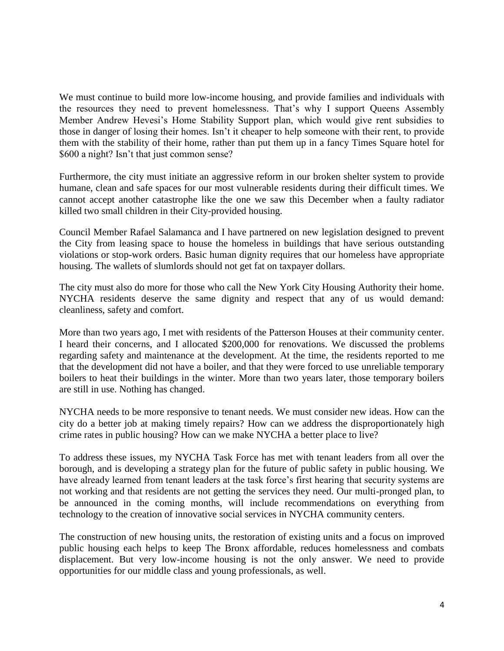We must continue to build more low-income housing, and provide families and individuals with the resources they need to prevent homelessness. That's why I support Queens Assembly Member Andrew Hevesi's Home Stability Support plan, which would give rent subsidies to those in danger of losing their homes. Isn't it cheaper to help someone with their rent, to provide them with the stability of their home, rather than put them up in a fancy Times Square hotel for \$600 a night? Isn't that just common sense?

Furthermore, the city must initiate an aggressive reform in our broken shelter system to provide humane, clean and safe spaces for our most vulnerable residents during their difficult times. We cannot accept another catastrophe like the one we saw this December when a faulty radiator killed two small children in their City-provided housing.

Council Member Rafael Salamanca and I have partnered on new legislation designed to prevent the City from leasing space to house the homeless in buildings that have serious outstanding violations or stop-work orders. Basic human dignity requires that our homeless have appropriate housing. The wallets of slumlords should not get fat on taxpayer dollars.

The city must also do more for those who call the New York City Housing Authority their home. NYCHA residents deserve the same dignity and respect that any of us would demand: cleanliness, safety and comfort.

More than two years ago, I met with residents of the Patterson Houses at their community center. I heard their concerns, and I allocated \$200,000 for renovations. We discussed the problems regarding safety and maintenance at the development. At the time, the residents reported to me that the development did not have a boiler, and that they were forced to use unreliable temporary boilers to heat their buildings in the winter. More than two years later, those temporary boilers are still in use. Nothing has changed.

NYCHA needs to be more responsive to tenant needs. We must consider new ideas. How can the city do a better job at making timely repairs? How can we address the disproportionately high crime rates in public housing? How can we make NYCHA a better place to live?

To address these issues, my NYCHA Task Force has met with tenant leaders from all over the borough, and is developing a strategy plan for the future of public safety in public housing. We have already learned from tenant leaders at the task force's first hearing that security systems are not working and that residents are not getting the services they need. Our multi-pronged plan, to be announced in the coming months, will include recommendations on everything from technology to the creation of innovative social services in NYCHA community centers.

The construction of new housing units, the restoration of existing units and a focus on improved public housing each helps to keep The Bronx affordable, reduces homelessness and combats displacement. But very low-income housing is not the only answer. We need to provide opportunities for our middle class and young professionals, as well.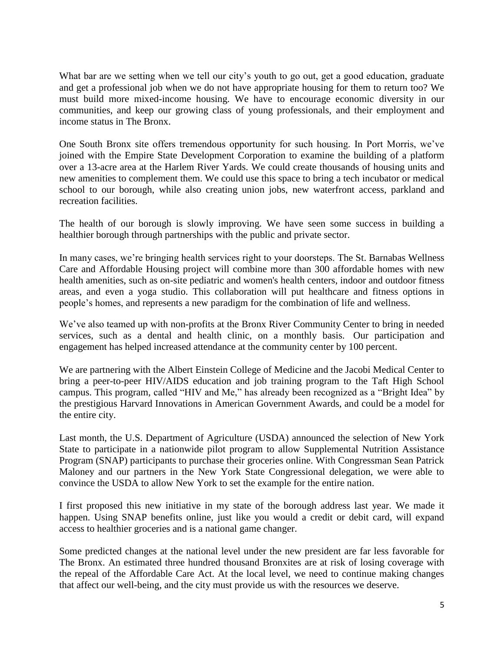What bar are we setting when we tell our city's youth to go out, get a good education, graduate and get a professional job when we do not have appropriate housing for them to return too? We must build more mixed-income housing. We have to encourage economic diversity in our communities, and keep our growing class of young professionals, and their employment and income status in The Bronx.

One South Bronx site offers tremendous opportunity for such housing. In Port Morris, we've joined with the Empire State Development Corporation to examine the building of a platform over a 13-acre area at the Harlem River Yards. We could create thousands of housing units and new amenities to complement them. We could use this space to bring a tech incubator or medical school to our borough, while also creating union jobs, new waterfront access, parkland and recreation facilities.

The health of our borough is slowly improving. We have seen some success in building a healthier borough through partnerships with the public and private sector.

In many cases, we're bringing health services right to your doorsteps. The St. Barnabas Wellness Care and Affordable Housing project will combine more than 300 affordable homes with new health amenities, such as on-site pediatric and women's health centers, indoor and outdoor fitness areas, and even a yoga studio. This collaboration will put healthcare and fitness options in people's homes, and represents a new paradigm for the combination of life and wellness.

We've also teamed up with non-profits at the Bronx River Community Center to bring in needed services, such as a dental and health clinic, on a monthly basis. Our participation and engagement has helped increased attendance at the community center by 100 percent.

We are partnering with the Albert Einstein College of Medicine and the Jacobi Medical Center to bring a peer-to-peer HIV/AIDS education and job training program to the Taft High School campus. This program, called "HIV and Me," has already been recognized as a "Bright Idea" by the prestigious Harvard Innovations in American Government Awards, and could be a model for the entire city.

Last month, the U.S. Department of Agriculture (USDA) announced the selection of New York State to participate in a nationwide pilot program to allow Supplemental Nutrition Assistance Program (SNAP) participants to purchase their groceries online. With Congressman Sean Patrick Maloney and our partners in the New York State Congressional delegation, we were able to convince the USDA to allow New York to set the example for the entire nation.

I first proposed this new initiative in my state of the borough address last year. We made it happen. Using SNAP benefits online, just like you would a credit or debit card, will expand access to healthier groceries and is a national game changer.

Some predicted changes at the national level under the new president are far less favorable for The Bronx. An estimated three hundred thousand Bronxites are at risk of losing coverage with the repeal of the Affordable Care Act. At the local level, we need to continue making changes that affect our well-being, and the city must provide us with the resources we deserve.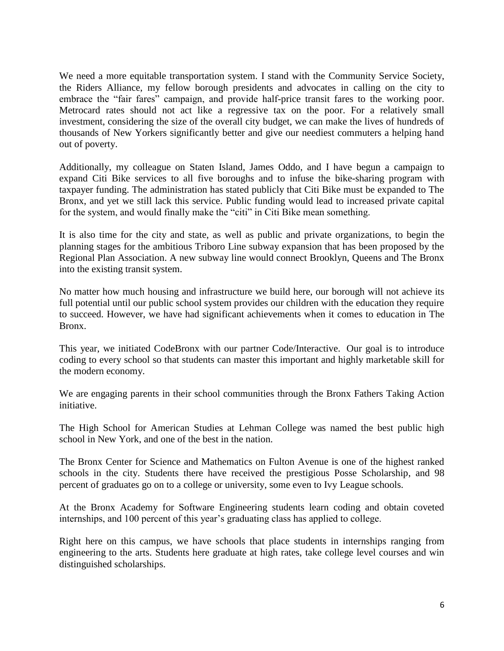We need a more equitable transportation system. I stand with the Community Service Society, the Riders Alliance, my fellow borough presidents and advocates in calling on the city to embrace the "fair fares" campaign, and provide half-price transit fares to the working poor. Metrocard rates should not act like a regressive tax on the poor. For a relatively small investment, considering the size of the overall city budget, we can make the lives of hundreds of thousands of New Yorkers significantly better and give our neediest commuters a helping hand out of poverty.

Additionally, my colleague on Staten Island, James Oddo, and I have begun a campaign to expand Citi Bike services to all five boroughs and to infuse the bike-sharing program with taxpayer funding. The administration has stated publicly that Citi Bike must be expanded to The Bronx, and yet we still lack this service. Public funding would lead to increased private capital for the system, and would finally make the "citi" in Citi Bike mean something.

It is also time for the city and state, as well as public and private organizations, to begin the planning stages for the ambitious Triboro Line subway expansion that has been proposed by the Regional Plan Association. A new subway line would connect Brooklyn, Queens and The Bronx into the existing transit system.

No matter how much housing and infrastructure we build here, our borough will not achieve its full potential until our public school system provides our children with the education they require to succeed. However, we have had significant achievements when it comes to education in The Bronx.

This year, we initiated CodeBronx with our partner Code/Interactive. Our goal is to introduce coding to every school so that students can master this important and highly marketable skill for the modern economy.

We are engaging parents in their school communities through the Bronx Fathers Taking Action initiative.

The High School for American Studies at Lehman College was named the best public high school in New York, and one of the best in the nation.

The Bronx Center for Science and Mathematics on Fulton Avenue is one of the highest ranked schools in the city. Students there have received the prestigious Posse Scholarship, and 98 percent of graduates go on to a college or university, some even to Ivy League schools.

At the Bronx Academy for Software Engineering students learn coding and obtain coveted internships, and 100 percent of this year's graduating class has applied to college.

Right here on this campus, we have schools that place students in internships ranging from engineering to the arts. Students here graduate at high rates, take college level courses and win distinguished scholarships.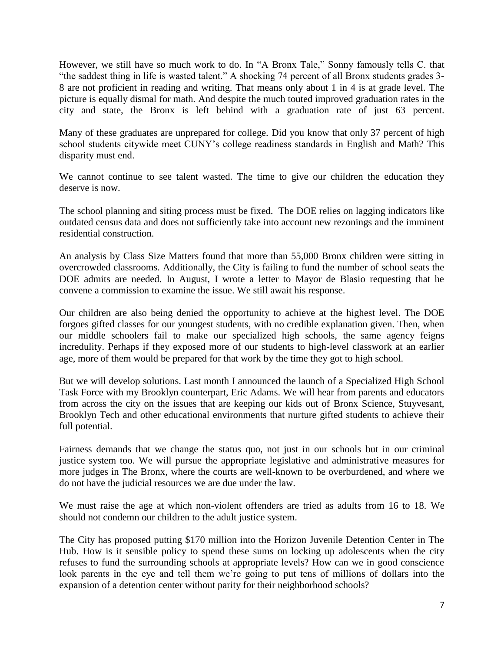However, we still have so much work to do. In "A Bronx Tale," Sonny famously tells C. that "the saddest thing in life is wasted talent." A shocking 74 percent of all Bronx students grades 3- 8 are not proficient in reading and writing. That means only about 1 in 4 is at grade level. The picture is equally dismal for math. And despite the much touted improved graduation rates in the city and state, the Bronx is left behind with a graduation rate of just 63 percent.

Many of these graduates are unprepared for college. Did you know that only 37 percent of high school students citywide meet CUNY's college readiness standards in English and Math? This disparity must end.

We cannot continue to see talent wasted. The time to give our children the education they deserve is now.

The school planning and siting process must be fixed. The DOE relies on lagging indicators like outdated census data and does not sufficiently take into account new rezonings and the imminent residential construction.

An analysis by Class Size Matters found that more than 55,000 Bronx children were sitting in overcrowded classrooms. Additionally, the City is failing to fund the number of school seats the DOE admits are needed. In August, I wrote a letter to Mayor de Blasio requesting that he convene a commission to examine the issue. We still await his response.

Our children are also being denied the opportunity to achieve at the highest level. The DOE forgoes gifted classes for our youngest students, with no credible explanation given. Then, when our middle schoolers fail to make our specialized high schools, the same agency feigns incredulity. Perhaps if they exposed more of our students to high-level classwork at an earlier age, more of them would be prepared for that work by the time they got to high school.

But we will develop solutions. Last month I announced the launch of a Specialized High School Task Force with my Brooklyn counterpart, Eric Adams. We will hear from parents and educators from across the city on the issues that are keeping our kids out of Bronx Science, Stuyvesant, Brooklyn Tech and other educational environments that nurture gifted students to achieve their full potential.

Fairness demands that we change the status quo, not just in our schools but in our criminal justice system too. We will pursue the appropriate legislative and administrative measures for more judges in The Bronx, where the courts are well-known to be overburdened, and where we do not have the judicial resources we are due under the law.

We must raise the age at which non-violent offenders are tried as adults from 16 to 18. We should not condemn our children to the adult justice system.

The City has proposed putting \$170 million into the Horizon Juvenile Detention Center in The Hub. How is it sensible policy to spend these sums on locking up adolescents when the city refuses to fund the surrounding schools at appropriate levels? How can we in good conscience look parents in the eye and tell them we're going to put tens of millions of dollars into the expansion of a detention center without parity for their neighborhood schools?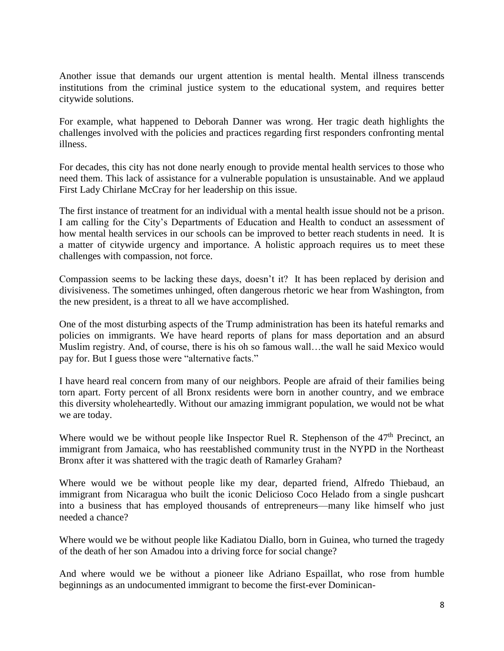Another issue that demands our urgent attention is mental health. Mental illness transcends institutions from the criminal justice system to the educational system, and requires better citywide solutions.

For example, what happened to Deborah Danner was wrong. Her tragic death highlights the challenges involved with the policies and practices regarding first responders confronting mental illness.

For decades, this city has not done nearly enough to provide mental health services to those who need them. This lack of assistance for a vulnerable population is unsustainable. And we applaud First Lady Chirlane McCray for her leadership on this issue.

The first instance of treatment for an individual with a mental health issue should not be a prison. I am calling for the City's Departments of Education and Health to conduct an assessment of how mental health services in our schools can be improved to better reach students in need. It is a matter of citywide urgency and importance. A holistic approach requires us to meet these challenges with compassion, not force.

Compassion seems to be lacking these days, doesn't it? It has been replaced by derision and divisiveness. The sometimes unhinged, often dangerous rhetoric we hear from Washington, from the new president, is a threat to all we have accomplished.

One of the most disturbing aspects of the Trump administration has been its hateful remarks and policies on immigrants. We have heard reports of plans for mass deportation and an absurd Muslim registry. And, of course, there is his oh so famous wall…the wall he said Mexico would pay for. But I guess those were "alternative facts."

I have heard real concern from many of our neighbors. People are afraid of their families being torn apart. Forty percent of all Bronx residents were born in another country, and we embrace this diversity wholeheartedly. Without our amazing immigrant population, we would not be what we are today.

Where would we be without people like Inspector Ruel R. Stephenson of the  $47<sup>th</sup>$  Precinct, an immigrant from Jamaica, who has reestablished community trust in the NYPD in the Northeast Bronx after it was shattered with the tragic death of Ramarley Graham?

Where would we be without people like my dear, departed friend, Alfredo Thiebaud, an immigrant from Nicaragua who built the iconic Delicioso Coco Helado from a single pushcart into a business that has employed thousands of entrepreneurs—many like himself who just needed a chance?

Where would we be without people like Kadiatou Diallo, born in Guinea, who turned the tragedy of the death of her son Amadou into a driving force for social change?

And where would we be without a pioneer like Adriano Espaillat, who rose from humble beginnings as an undocumented immigrant to become the first-ever Dominican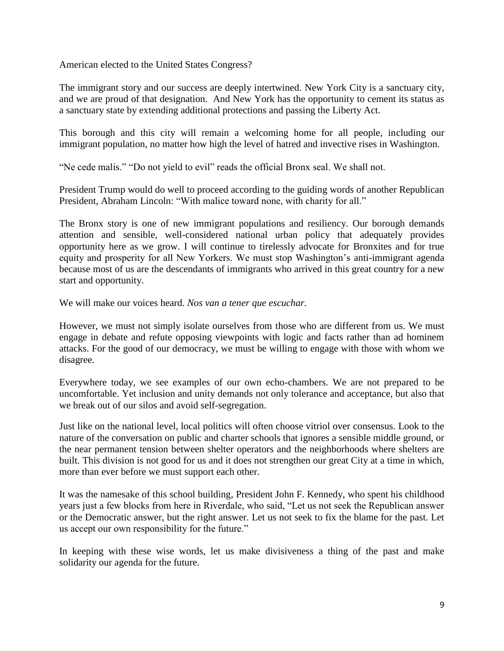American elected to the United States Congress?

The immigrant story and our success are deeply intertwined. New York City is a sanctuary city, and we are proud of that designation. And New York has the opportunity to cement its status as a sanctuary state by extending additional protections and passing the Liberty Act.

This borough and this city will remain a welcoming home for all people, including our immigrant population, no matter how high the level of hatred and invective rises in Washington.

"Ne cede malis." "Do not yield to evil" reads the official Bronx seal. We shall not.

President Trump would do well to proceed according to the guiding words of another Republican President, Abraham Lincoln: "With malice toward none, with charity for all."

The Bronx story is one of new immigrant populations and resiliency. Our borough demands attention and sensible, well-considered national urban policy that adequately provides opportunity here as we grow. I will continue to tirelessly advocate for Bronxites and for true equity and prosperity for all New Yorkers. We must stop Washington's anti-immigrant agenda because most of us are the descendants of immigrants who arrived in this great country for a new start and opportunity.

We will make our voices heard. *Nos van a tener que escuchar.*

However, we must not simply isolate ourselves from those who are different from us. We must engage in debate and refute opposing viewpoints with logic and facts rather than ad hominem attacks. For the good of our democracy, we must be willing to engage with those with whom we disagree.

Everywhere today, we see examples of our own echo-chambers. We are not prepared to be uncomfortable. Yet inclusion and unity demands not only tolerance and acceptance, but also that we break out of our silos and avoid self-segregation.

Just like on the national level, local politics will often choose vitriol over consensus. Look to the nature of the conversation on public and charter schools that ignores a sensible middle ground, or the near permanent tension between shelter operators and the neighborhoods where shelters are built. This division is not good for us and it does not strengthen our great City at a time in which, more than ever before we must support each other.

It was the namesake of this school building, President John F. Kennedy, who spent his childhood years just a few blocks from here in Riverdale, who said, "Let us not seek the Republican answer or the Democratic answer, but the right answer. Let us not seek to fix the blame for the past. Let us accept our own responsibility for the future."

In keeping with these wise words, let us make divisiveness a thing of the past and make solidarity our agenda for the future.